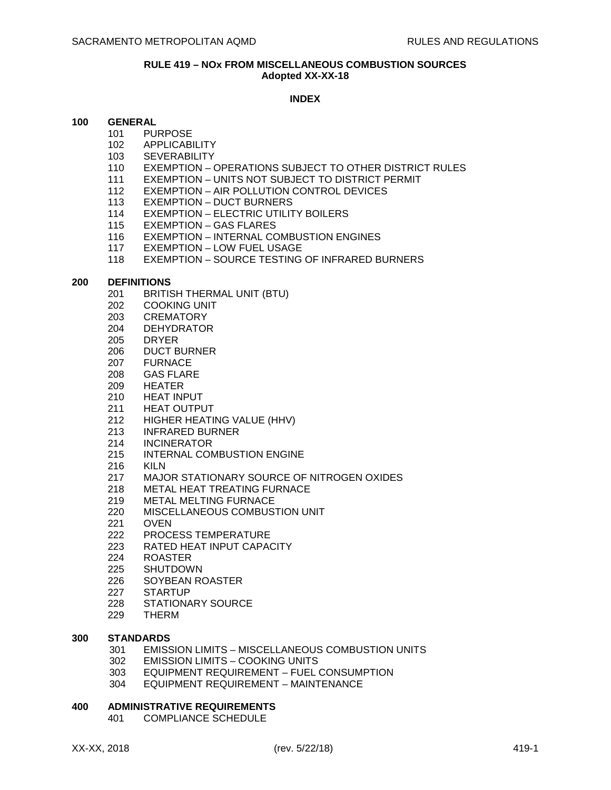#### **RULE 419 – NOx FROM MISCELLANEOUS COMBUSTION SOURCES Adopted XX-XX-18**

## **INDEX**

#### **100 GENERAL**

- 101 PURPOSE
	- 102 APPLICABILITY
	- 103 SEVERABILITY
	- 110 EXEMPTION OPERATIONS SUBJECT TO OTHER DISTRICT RULES
	- 111 EXEMPTION UNITS NOT SUBJECT TO DISTRICT PERMIT
	- 112 EXEMPTION AIR POLLUTION CONTROL DEVICES
	- 113 EXEMPTION DUCT BURNERS
	- 114 EXEMPTION ELECTRIC UTILITY BOILERS
	- 115 EXEMPTION GAS FLARES
	- 116 EXEMPTION INTERNAL COMBUSTION ENGINES
	- 117 EXEMPTION LOW FUEL USAGE
	- 118 EXEMPTION SOURCE TESTING OF INFRARED BURNERS

#### **200 DEFINITIONS**

- 201 BRITISH THERMAL UNIT (BTU)
- 202 COOKING UNIT
- 203 CREMATORY
- 204 DEHYDRATOR
- 205 DRYER
- 206 DUCT BURNER
- 207 FURNACE
- 208 GAS FLARE
- 209 HEATER
- 210 HEAT INPUT
- 211 HEAT OUTPUT
- 212 HIGHER HEATING VALUE (HHV)
- 213 INFRARED BURNER
- 214 INCINERATOR
- 215 INTERNAL COMBUSTION ENGINE
- 216 KILN
- 217 MAJOR STATIONARY SOURCE OF NITROGEN OXIDES
- 218 METAL HEAT TREATING FURNACE
- 219 METAL MELTING FURNACE
- 220 MISCELLANEOUS COMBUSTION UNIT
- 221 OVEN
- 222 PROCESS TEMPERATURE
- 223 RATED HEAT INPUT CAPACITY
- 224 ROASTER
- 225 SHUTDOWN
- 226 SOYBEAN ROASTER
- 227 STARTUP
- 228 STATIONARY SOURCE<br>229 THERM
- **THERM**

# **300 STANDARDS**

- 301 EMISSION LIMITS MISCELLANEOUS COMBUSTION UNITS
- 302 EMISSION LIMITS COOKING UNITS
- 303 EQUIPMENT REQUIREMENT FUEL CONSUMPTION
- 304 EQUIPMENT REQUIREMENT MAINTENANCE

#### **400 ADMINISTRATIVE REQUIREMENTS**

401 COMPLIANCE SCHEDULE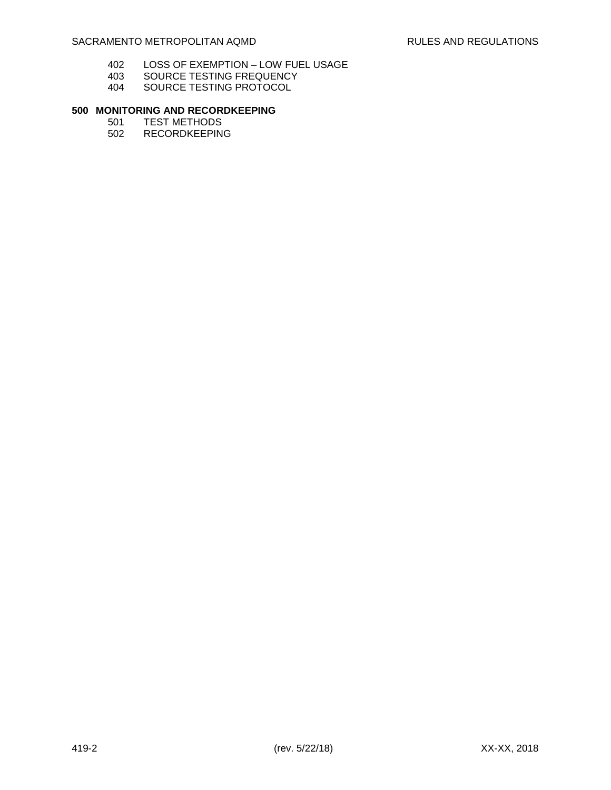- 402 LOSS OF EXEMPTION LOW FUEL USAGE<br>403 SOURCE TESTING FREQUENCY
- 403 SOURCE TESTING FREQUENCY<br>404 SOURCE TESTING PROTOCOL
- SOURCE TESTING PROTOCOL

# **500 MONITORING AND RECORDKEEPING**

- 501 TEST METHODS<br>502 RECORDKEEPIN
- **RECORDKEEPING**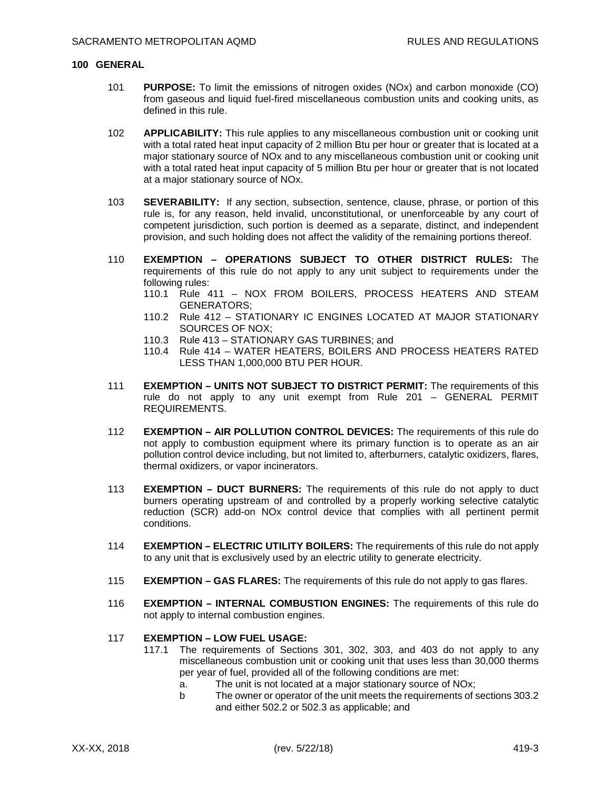#### **100 GENERAL**

- 101 **PURPOSE:** To limit the emissions of nitrogen oxides (NOx) and carbon monoxide (CO) from gaseous and liquid fuel-fired miscellaneous combustion units and cooking units, as defined in this rule.
- 102 **APPLICABILITY:** This rule applies to any miscellaneous combustion unit or cooking unit with a total rated heat input capacity of 2 million Btu per hour or greater that is located at a major stationary source of NOx and to any miscellaneous combustion unit or cooking unit with a total rated heat input capacity of 5 million Btu per hour or greater that is not located at a major stationary source of NOx.
- 103 **SEVERABILITY:** If any section, subsection, sentence, clause, phrase, or portion of this rule is, for any reason, held invalid, unconstitutional, or unenforceable by any court of competent jurisdiction, such portion is deemed as a separate, distinct, and independent provision, and such holding does not affect the validity of the remaining portions thereof.
- 110 **EXEMPTION OPERATIONS SUBJECT TO OTHER DISTRICT RULES:** The requirements of this rule do not apply to any unit subject to requirements under the following rules:
	- 110.1 Rule 411 NOX FROM BOILERS, PROCESS HEATERS AND STEAM GENERATORS;
	- 110.2 Rule 412 STATIONARY IC ENGINES LOCATED AT MAJOR STATIONARY SOURCES OF NOX;
	- 110.3 Rule 413 STATIONARY GAS TURBINES; and
	- 110.4 Rule 414 WATER HEATERS, BOILERS AND PROCESS HEATERS RATED LESS THAN 1,000,000 BTU PER HOUR.
- 111 **EXEMPTION UNITS NOT SUBJECT TO DISTRICT PERMIT:** The requirements of this rule do not apply to any unit exempt from Rule 201 – GENERAL PERMIT REQUIREMENTS.
- 112 **EXEMPTION AIR POLLUTION CONTROL DEVICES:** The requirements of this rule do not apply to combustion equipment where its primary function is to operate as an air pollution control device including, but not limited to, afterburners, catalytic oxidizers, flares, thermal oxidizers, or vapor incinerators.
- 113 **EXEMPTION DUCT BURNERS:** The requirements of this rule do not apply to duct burners operating upstream of and controlled by a properly working selective catalytic reduction (SCR) add-on NOx control device that complies with all pertinent permit conditions.
- 114 **EXEMPTION ELECTRIC UTILITY BOILERS:** The requirements of this rule do not apply to any unit that is exclusively used by an electric utility to generate electricity.
- 115 **EXEMPTION GAS FLARES:** The requirements of this rule do not apply to gas flares.
- 116 **EXEMPTION INTERNAL COMBUSTION ENGINES:** The requirements of this rule do not apply to internal combustion engines.

#### 117 **EXEMPTION – LOW FUEL USAGE:**

- 117.1 The requirements of Sections 301, 302, 303, and 403 do not apply to any miscellaneous combustion unit or cooking unit that uses less than 30,000 therms per year of fuel, provided all of the following conditions are met:
	- a. The unit is not located at a major stationary source of NOx;
	- b The owner or operator of the unit meets the requirements of sections 303.2 and either 502.2 or 502.3 as applicable; and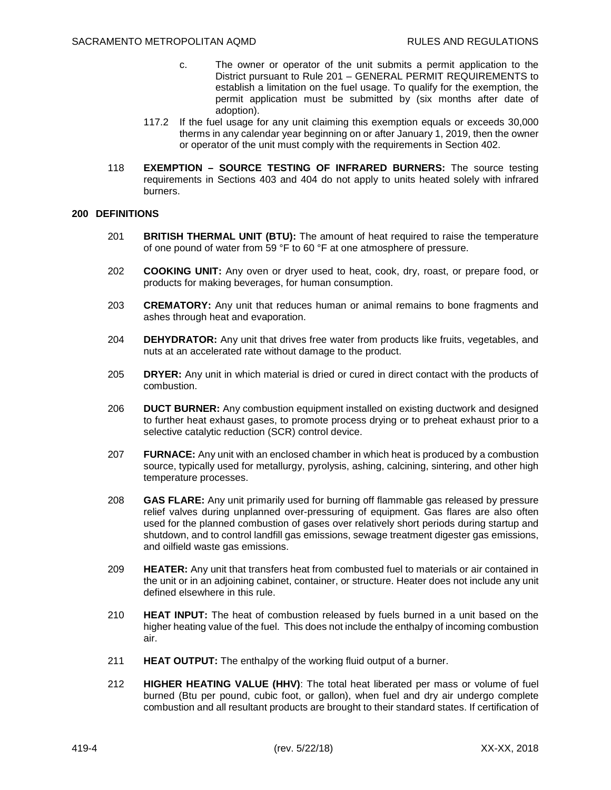- c. The owner or operator of the unit submits a permit application to the District pursuant to Rule 201 – GENERAL PERMIT REQUIREMENTS to establish a limitation on the fuel usage. To qualify for the exemption, the permit application must be submitted by (six months after date of adoption).
- 117.2 If the fuel usage for any unit claiming this exemption equals or exceeds 30,000 therms in any calendar year beginning on or after January 1, 2019, then the owner or operator of the unit must comply with the requirements in Section 402.
- 118 **EXEMPTION SOURCE TESTING OF INFRARED BURNERS:** The source testing requirements in Sections 403 and 404 do not apply to units heated solely with infrared burners.

## **200 DEFINITIONS**

- 201 **BRITISH THERMAL UNIT (BTU):** The amount of heat required to raise the temperature of one pound of water from 59 °F to 60 °F at one atmosphere of pressure.
- 202 **COOKING UNIT:** Any oven or dryer used to heat, cook, dry, roast, or prepare food, or products for making beverages, for human consumption.
- 203 **CREMATORY:** Any unit that reduces human or animal remains to bone fragments and ashes through heat and evaporation.
- 204 **DEHYDRATOR:** Any unit that drives free water from products like fruits, vegetables, and nuts at an accelerated rate without damage to the product.
- 205 **DRYER:** Any unit in which material is dried or cured in direct contact with the products of combustion.
- 206 **DUCT BURNER:** Any combustion equipment installed on existing ductwork and designed to further heat exhaust gases, to promote process drying or to preheat exhaust prior to a selective catalytic reduction (SCR) control device.
- 207 **FURNACE:** Any unit with an enclosed chamber in which heat is produced by a combustion source, typically used for metallurgy, pyrolysis, ashing, calcining, sintering, and other high temperature processes.
- 208 **GAS FLARE:** Any unit primarily used for burning off flammable gas released by pressure relief valves during unplanned over-pressuring of equipment. Gas flares are also often used for the planned combustion of gases over relatively short periods during startup and shutdown, and to control landfill gas emissions, sewage treatment digester gas emissions, and oilfield waste gas emissions.
- 209 **HEATER:** Any unit that transfers heat from combusted fuel to materials or air contained in the unit or in an adjoining cabinet, container, or structure. Heater does not include any unit defined elsewhere in this rule.
- 210 **HEAT INPUT:** The heat of combustion released by fuels burned in a unit based on the higher heating value of the fuel. This does not include the enthalpy of incoming combustion air.
- 211 **HEAT OUTPUT:** The enthalpy of the working fluid output of a burner.
- 212 **HIGHER HEATING VALUE (HHV)**: The total heat liberated per mass or volume of fuel burned (Btu per pound, cubic foot, or gallon), when fuel and dry air undergo complete combustion and all resultant products are brought to their standard states. If certification of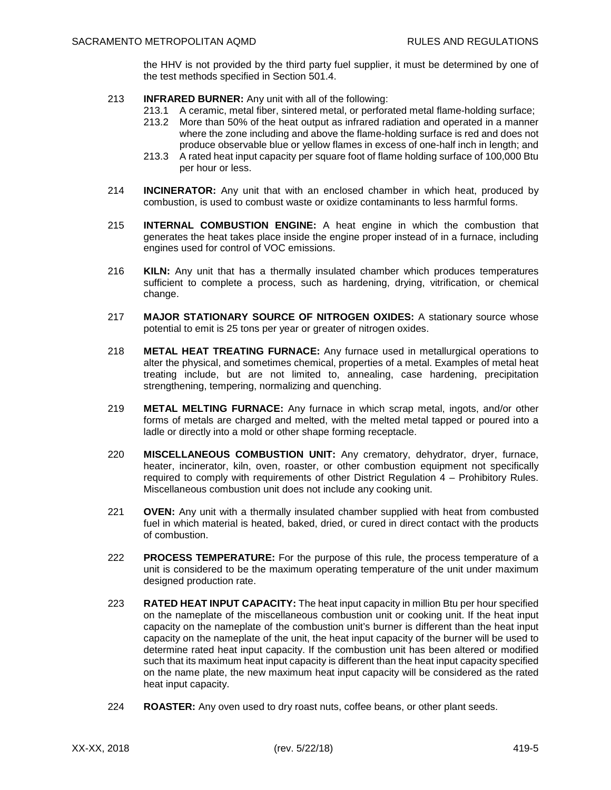the HHV is not provided by the third party fuel supplier, it must be determined by one of the test methods specified in Section 501.4.

- 213 **INFRARED BURNER:** Any unit with all of the following:
	- 213.1 A ceramic, metal fiber, sintered metal, or perforated metal flame-holding surface;
	- 213.2 More than 50% of the heat output as infrared radiation and operated in a manner where the zone including and above the flame-holding surface is red and does not produce observable blue or yellow flames in excess of one-half inch in length; and
	- 213.3 A rated heat input capacity per square foot of flame holding surface of 100,000 Btu per hour or less.
- 214 **INCINERATOR:** Any unit that with an enclosed chamber in which heat, produced by combustion, is used to combust waste or oxidize contaminants to less harmful forms.
- 215 **INTERNAL COMBUSTION ENGINE:** A heat engine in which the combustion that generates the heat takes place inside the engine proper instead of in a furnace, including engines used for control of VOC emissions.
- 216 **KILN:** Any unit that has a thermally insulated chamber which produces temperatures sufficient to complete a process, such as hardening, drying, vitrification, or chemical change.
- 217 **MAJOR STATIONARY SOURCE OF NITROGEN OXIDES:** A stationary source whose potential to emit is 25 tons per year or greater of nitrogen oxides.
- 218 **METAL HEAT TREATING FURNACE:** Any furnace used in metallurgical operations to alter the physical, and sometimes chemical, properties of a metal. Examples of metal heat treating include, but are not limited to, annealing, case hardening, precipitation strengthening, tempering, normalizing and quenching.
- 219 **METAL MELTING FURNACE:** Any furnace in which scrap metal, ingots, and/or other forms of metals are charged and melted, with the melted metal tapped or poured into a ladle or directly into a mold or other shape forming receptacle.
- 220 **MISCELLANEOUS COMBUSTION UNIT:** Any crematory, dehydrator, dryer, furnace, heater, incinerator, kiln, oven, roaster, or other combustion equipment not specifically required to comply with requirements of other District Regulation 4 – Prohibitory Rules. Miscellaneous combustion unit does not include any cooking unit.
- 221 **OVEN:** Any unit with a thermally insulated chamber supplied with heat from combusted fuel in which material is heated, baked, dried, or cured in direct contact with the products of combustion.
- 222 **PROCESS TEMPERATURE:** For the purpose of this rule, the process temperature of a unit is considered to be the maximum operating temperature of the unit under maximum designed production rate.
- 223 **RATED HEAT INPUT CAPACITY:** The heat input capacity in million Btu per hour specified on the nameplate of the miscellaneous combustion unit or cooking unit. If the heat input capacity on the nameplate of the combustion unit's burner is different than the heat input capacity on the nameplate of the unit, the heat input capacity of the burner will be used to determine rated heat input capacity. If the combustion unit has been altered or modified such that its maximum heat input capacity is different than the heat input capacity specified on the name plate, the new maximum heat input capacity will be considered as the rated heat input capacity.
- 224 **ROASTER:** Any oven used to dry roast nuts, coffee beans, or other plant seeds.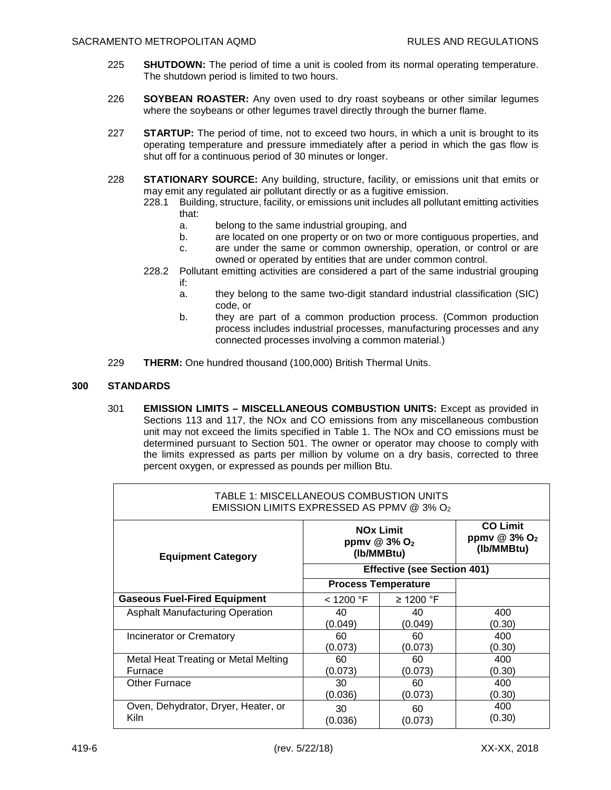- 225 **SHUTDOWN:** The period of time a unit is cooled from its normal operating temperature. The shutdown period is limited to two hours.
- 226 **SOYBEAN ROASTER:** Any oven used to dry roast soybeans or other similar legumes where the soybeans or other legumes travel directly through the burner flame.
- 227 **STARTUP:** The period of time, not to exceed two hours, in which a unit is brought to its operating temperature and pressure immediately after a period in which the gas flow is shut off for a continuous period of 30 minutes or longer.
- 228 **STATIONARY SOURCE:** Any building, structure, facility, or emissions unit that emits or may emit any regulated air pollutant directly or as a fugitive emission.
	- 228.1 Building, structure, facility, or emissions unit includes all pollutant emitting activities that:
		- a. belong to the same industrial grouping, and
		- b. are located on one property or on two or more contiguous properties, and
		- c. are under the same or common ownership, operation, or control or are owned or operated by entities that are under common control.
	- 228.2 Pollutant emitting activities are considered a part of the same industrial grouping if:
		- a. they belong to the same two-digit standard industrial classification (SIC) code, or
		- b. they are part of a common production process. (Common production process includes industrial processes, manufacturing processes and any connected processes involving a common material.)
- 229 **THERM:** One hundred thousand (100,000) British Thermal Units.

# **300 STANDARDS**

301 **EMISSION LIMITS – MISCELLANEOUS COMBUSTION UNITS:** Except as provided in Sections 113 and 117, the NOx and CO emissions from any miscellaneous combustion unit may not exceed the limits specified in Table 1. The NOx and CO emissions must be determined pursuant to Section 501. The owner or operator may choose to comply with the limits expressed as parts per million by volume on a dry basis, corrected to three percent oxygen, or expressed as pounds per million Btu.

| TABLE 1: MISCELLANEOUS COMBUSTION UNITS<br>EMISSION LIMITS EXPRESSED AS PPMV @ 3% O2 |                                                            |                |                                                             |  |  |
|--------------------------------------------------------------------------------------|------------------------------------------------------------|----------------|-------------------------------------------------------------|--|--|
| <b>Equipment Category</b>                                                            | <b>NOx Limit</b><br>ppmv @ 3% O <sub>2</sub><br>(Ib/MMBtu) |                | <b>CO Limit</b><br>ppmv $@3\%$ O <sub>2</sub><br>(Ib/MMBtu) |  |  |
|                                                                                      | <b>Effective (see Section 401)</b>                         |                |                                                             |  |  |
|                                                                                      | <b>Process Temperature</b>                                 |                |                                                             |  |  |
| <b>Gaseous Fuel-Fired Equipment</b>                                                  | $<$ 1200 °F                                                | $\geq$ 1200 °F |                                                             |  |  |
| <b>Asphalt Manufacturing Operation</b>                                               | 40                                                         | 40             | 400                                                         |  |  |
| Incinerator or Crematory                                                             | (0.049)<br>60                                              | (0.049)<br>60  | (0.30)<br>400                                               |  |  |
|                                                                                      | (0.073)                                                    | (0.073)        | (0.30)                                                      |  |  |
| Metal Heat Treating or Metal Melting                                                 | 60                                                         | 60             | 400                                                         |  |  |
| Furnace                                                                              | (0.073)                                                    | (0.073)        | (0.30)                                                      |  |  |
| <b>Other Furnace</b>                                                                 | 30                                                         | 60             | 400                                                         |  |  |
|                                                                                      | (0.036)                                                    | (0.073)        | (0.30)                                                      |  |  |
| Oven, Dehydrator, Dryer, Heater, or<br>Kiln                                          | 30<br>(0.036)                                              | 60<br>(0.073)  | 400<br>(0.30)                                               |  |  |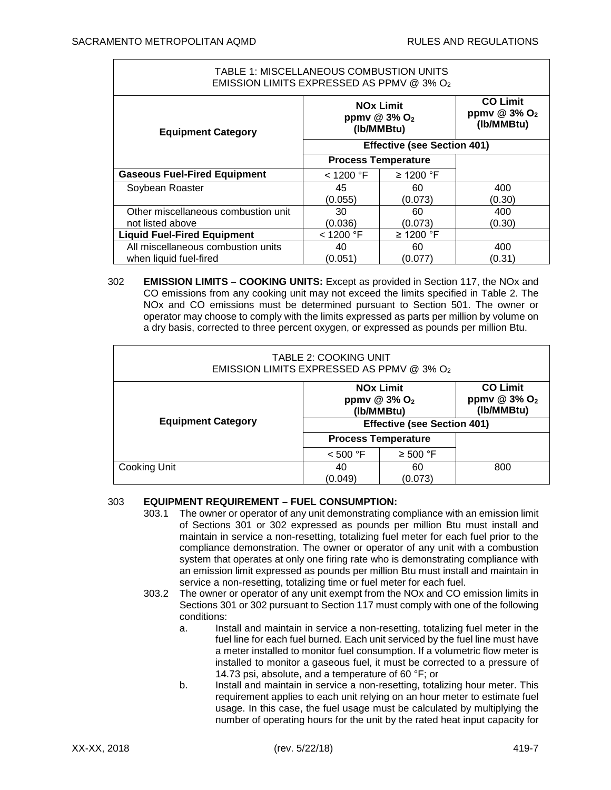| TABLE 1: MISCELLANEOUS COMBUSTION UNITS<br>EMISSION LIMITS EXPRESSED AS PPMV @ 3% O2 |                                                            |               |                                                             |  |  |
|--------------------------------------------------------------------------------------|------------------------------------------------------------|---------------|-------------------------------------------------------------|--|--|
| <b>Equipment Category</b>                                                            | <b>NOx Limit</b><br>ppmv @ 3% O <sub>2</sub><br>(Ib/MMBtu) |               | <b>CO Limit</b><br>ppmv $@3\%$ O <sub>2</sub><br>(Ib/MMBtu) |  |  |
|                                                                                      | <b>Effective (see Section 401)</b>                         |               |                                                             |  |  |
|                                                                                      | <b>Process Temperature</b>                                 |               |                                                             |  |  |
| <b>Gaseous Fuel-Fired Equipment</b>                                                  | $<$ 1200 °F                                                | ≥ 1200 °F     |                                                             |  |  |
| Soybean Roaster                                                                      | 45<br>(0.055)                                              | 60<br>(0.073) | 400<br>(0.30)                                               |  |  |
| Other miscellaneous combustion unit                                                  | 30                                                         | 60            | 400                                                         |  |  |
| not listed above                                                                     | (0.036)                                                    | (0.073)       | (0.30)                                                      |  |  |
| <b>Liquid Fuel-Fired Equipment</b>                                                   | < 1200 °F                                                  | ≥ 1200 °F     |                                                             |  |  |
| All miscellaneous combustion units                                                   | 40                                                         | 60            | 400                                                         |  |  |
| when liquid fuel-fired                                                               | (0.051)                                                    | (0.077        | (0.31)                                                      |  |  |

## 302 **EMISSION LIMITS – COOKING UNITS:** Except as provided in Section 117, the NOx and CO emissions from any cooking unit may not exceed the limits specified in Table 2. The NOx and CO emissions must be determined pursuant to Section 501. The owner or operator may choose to comply with the limits expressed as parts per million by volume on a dry basis, corrected to three percent oxygen, or expressed as pounds per million Btu.

| <b>TABLE 2: COOKING UNIT</b><br>EMISSION LIMITS EXPRESSED AS PPMV @ 3% O2 |                                                              |               |                                                             |  |  |
|---------------------------------------------------------------------------|--------------------------------------------------------------|---------------|-------------------------------------------------------------|--|--|
| <b>Equipment Category</b>                                                 | <b>NOx Limit</b><br>ppmv $@3\%$ O <sub>2</sub><br>(Ib/MMBtu) |               | <b>CO Limit</b><br>ppmv $@3\%$ O <sub>2</sub><br>(Ib/MMBtu) |  |  |
|                                                                           | <b>Effective (see Section 401)</b>                           |               |                                                             |  |  |
|                                                                           | <b>Process Temperature</b>                                   |               |                                                             |  |  |
|                                                                           | < 500 °F                                                     | $\geq 500$ °F |                                                             |  |  |
| Cooking Unit                                                              | 40<br>(0.049)                                                | 60<br>(0.073) | 800                                                         |  |  |

## 303 **EQUIPMENT REQUIREMENT – FUEL CONSUMPTION:**

- 303.1 The owner or operator of any unit demonstrating compliance with an emission limit of Sections 301 or 302 expressed as pounds per million Btu must install and maintain in service a non-resetting, totalizing fuel meter for each fuel prior to the compliance demonstration. The owner or operator of any unit with a combustion system that operates at only one firing rate who is demonstrating compliance with an emission limit expressed as pounds per million Btu must install and maintain in service a non-resetting, totalizing time or fuel meter for each fuel.
- 303.2 The owner or operator of any unit exempt from the NOx and CO emission limits in Sections 301 or 302 pursuant to Section 117 must comply with one of the following conditions:
	- a. Install and maintain in service a non-resetting, totalizing fuel meter in the fuel line for each fuel burned. Each unit serviced by the fuel line must have a meter installed to monitor fuel consumption. If a volumetric flow meter is installed to monitor a gaseous fuel, it must be corrected to a pressure of 14.73 psi, absolute, and a temperature of 60 °F; or
	- b. Install and maintain in service a non-resetting, totalizing hour meter. This requirement applies to each unit relying on an hour meter to estimate fuel usage. In this case, the fuel usage must be calculated by multiplying the number of operating hours for the unit by the rated heat input capacity for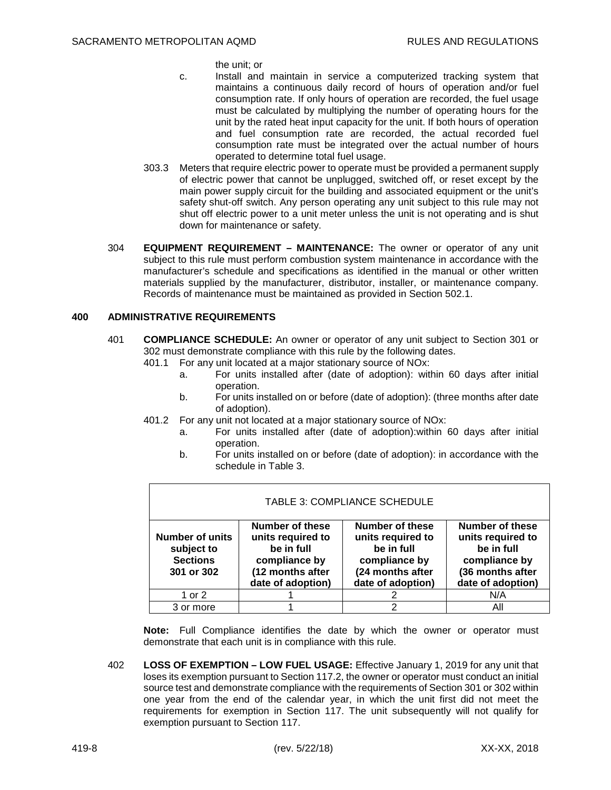the unit; or

- c. Install and maintain in service a computerized tracking system that maintains a continuous daily record of hours of operation and/or fuel consumption rate. If only hours of operation are recorded, the fuel usage must be calculated by multiplying the number of operating hours for the unit by the rated heat input capacity for the unit. If both hours of operation and fuel consumption rate are recorded, the actual recorded fuel consumption rate must be integrated over the actual number of hours operated to determine total fuel usage.
- 303.3 Meters that require electric power to operate must be provided a permanent supply of electric power that cannot be unplugged, switched off, or reset except by the main power supply circuit for the building and associated equipment or the unit's safety shut-off switch. Any person operating any unit subject to this rule may not shut off electric power to a unit meter unless the unit is not operating and is shut down for maintenance or safety.
- 304 **EQUIPMENT REQUIREMENT MAINTENANCE:** The owner or operator of any unit subject to this rule must perform combustion system maintenance in accordance with the manufacturer's schedule and specifications as identified in the manual or other written materials supplied by the manufacturer, distributor, installer, or maintenance company. Records of maintenance must be maintained as provided in Section 502.1.

#### **400 ADMINISTRATIVE REQUIREMENTS**

- 401 **COMPLIANCE SCHEDULE:** An owner or operator of any unit subject to Section 301 or 302 must demonstrate compliance with this rule by the following dates.
	- 401.1 For any unit located at a major stationary source of NOx:
		- a. For units installed after (date of adoption): within 60 days after initial operation.
		- b. For units installed on or before (date of adoption): (three months after date of adoption).
	- 401.2 For any unit not located at a major stationary source of NOx:
		- a. For units installed after (date of adoption):within 60 days after initial operation.
		- b. For units installed on or before (date of adoption): in accordance with the schedule in Table 3.

| TABLE 3: COMPLIANCE SCHEDULE                                          |                                                                                                                     |                                                                                                                     |                                                                                                                     |  |  |
|-----------------------------------------------------------------------|---------------------------------------------------------------------------------------------------------------------|---------------------------------------------------------------------------------------------------------------------|---------------------------------------------------------------------------------------------------------------------|--|--|
| <b>Number of units</b><br>subject to<br><b>Sections</b><br>301 or 302 | <b>Number of these</b><br>units required to<br>be in full<br>compliance by<br>(12 months after<br>date of adoption) | <b>Number of these</b><br>units required to<br>be in full<br>compliance by<br>(24 months after<br>date of adoption) | <b>Number of these</b><br>units required to<br>be in full<br>compliance by<br>(36 months after<br>date of adoption) |  |  |
| 1 or 2                                                                |                                                                                                                     |                                                                                                                     | N/A                                                                                                                 |  |  |
| 3 or more                                                             |                                                                                                                     |                                                                                                                     | All                                                                                                                 |  |  |

**Note:** Full Compliance identifies the date by which the owner or operator must demonstrate that each unit is in compliance with this rule.

402 **LOSS OF EXEMPTION – LOW FUEL USAGE:** Effective January 1, 2019 for any unit that loses its exemption pursuant to Section 117.2, the owner or operator must conduct an initial source test and demonstrate compliance with the requirements of Section 301 or 302 within one year from the end of the calendar year, in which the unit first did not meet the requirements for exemption in Section 117. The unit subsequently will not qualify for exemption pursuant to Section 117.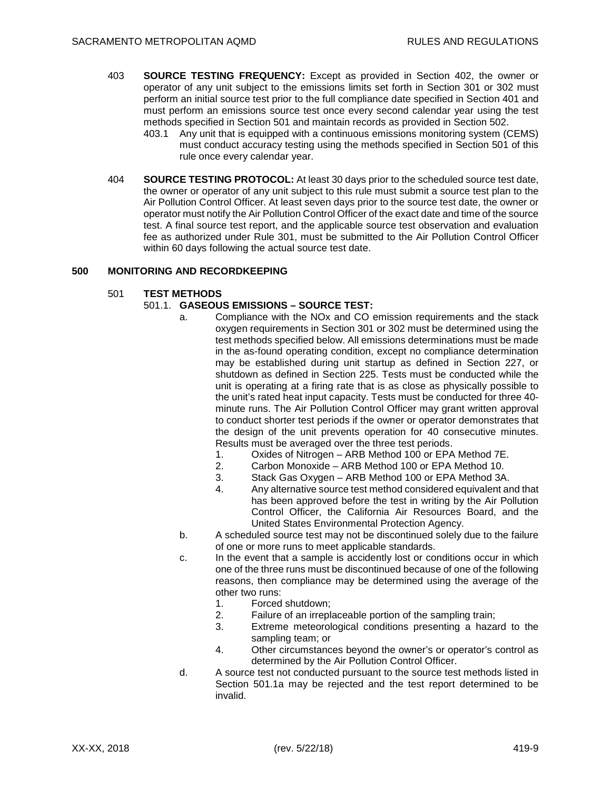- 403 **SOURCE TESTING FREQUENCY:** Except as provided in Section 402, the owner or operator of any unit subject to the emissions limits set forth in Section 301 or 302 must perform an initial source test prior to the full compliance date specified in Section 401 and must perform an emissions source test once every second calendar year using the test methods specified in Section 501 and maintain records as provided in Section 502.
	- 403.1 Any unit that is equipped with a continuous emissions monitoring system (CEMS) must conduct accuracy testing using the methods specified in Section 501 of this rule once every calendar year.
- 404 **SOURCE TESTING PROTOCOL:** At least 30 days prior to the scheduled source test date, the owner or operator of any unit subject to this rule must submit a source test plan to the Air Pollution Control Officer. At least seven days prior to the source test date, the owner or operator must notify the Air Pollution Control Officer of the exact date and time of the source test. A final source test report, and the applicable source test observation and evaluation fee as authorized under Rule 301, must be submitted to the Air Pollution Control Officer within 60 days following the actual source test date.

## **500 MONITORING AND RECORDKEEPING**

## 501 **TEST METHODS**

# 501.1. **GASEOUS EMISSIONS – SOURCE TEST:**

- a. Compliance with the NOx and CO emission requirements and the stack oxygen requirements in Section 301 or 302 must be determined using the test methods specified below. All emissions determinations must be made in the as-found operating condition, except no compliance determination may be established during unit startup as defined in Section 227, or shutdown as defined in Section 225. Tests must be conducted while the unit is operating at a firing rate that is as close as physically possible to the unit's rated heat input capacity. Tests must be conducted for three 40 minute runs. The Air Pollution Control Officer may grant written approval to conduct shorter test periods if the owner or operator demonstrates that the design of the unit prevents operation for 40 consecutive minutes. Results must be averaged over the three test periods.
	- 1. Oxides of Nitrogen ARB Method 100 or EPA Method 7E.
	- 2. Carbon Monoxide ARB Method 100 or EPA Method 10.
	- 3. Stack Gas Oxygen ARB Method 100 or EPA Method 3A.
	- 4. Any alternative source test method considered equivalent and that has been approved before the test in writing by the Air Pollution Control Officer, the California Air Resources Board, and the United States Environmental Protection Agency.
- b. A scheduled source test may not be discontinued solely due to the failure of one or more runs to meet applicable standards.
- c. In the event that a sample is accidently lost or conditions occur in which one of the three runs must be discontinued because of one of the following reasons, then compliance may be determined using the average of the other two runs:
	- 1. Forced shutdown;
	- 2. Failure of an irreplaceable portion of the sampling train;
	- 3. Extreme meteorological conditions presenting a hazard to the sampling team; or
	- 4. Other circumstances beyond the owner's or operator's control as determined by the Air Pollution Control Officer.
- d. A source test not conducted pursuant to the source test methods listed in Section 501.1a may be rejected and the test report determined to be invalid.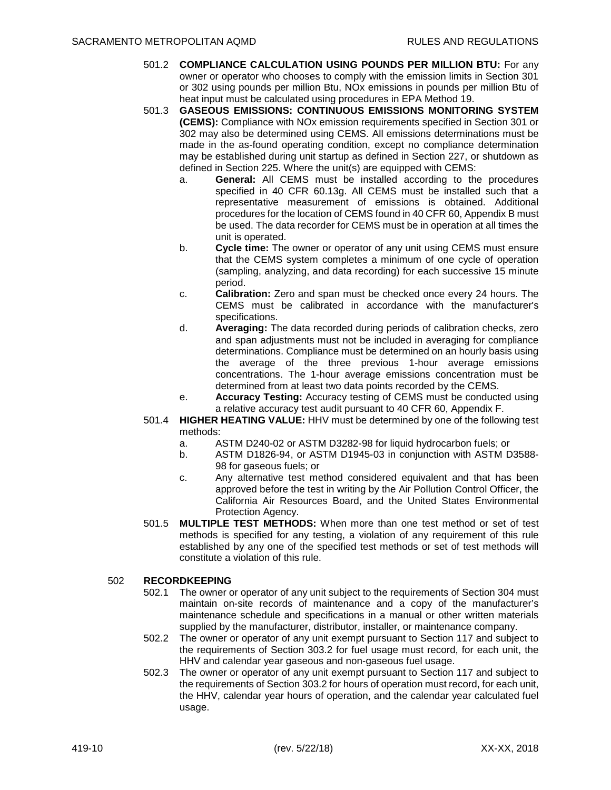- 501.2 **COMPLIANCE CALCULATION USING POUNDS PER MILLION BTU:** For any owner or operator who chooses to comply with the emission limits in Section 301 or 302 using pounds per million Btu, NOx emissions in pounds per million Btu of heat input must be calculated using procedures in EPA Method 19.
- 501.3 **GASEOUS EMISSIONS: CONTINUOUS EMISSIONS MONITORING SYSTEM (CEMS):** Compliance with NOx emission requirements specified in Section 301 or 302 may also be determined using CEMS. All emissions determinations must be made in the as-found operating condition, except no compliance determination may be established during unit startup as defined in Section 227, or shutdown as defined in Section 225. Where the unit(s) are equipped with CEMS:
	- a. **General:** All CEMS must be installed according to the procedures specified in 40 CFR 60.13g. All CEMS must be installed such that a representative measurement of emissions is obtained. Additional procedures for the location of CEMS found in 40 CFR 60, Appendix B must be used. The data recorder for CEMS must be in operation at all times the unit is operated.
	- b. **Cycle time:** The owner or operator of any unit using CEMS must ensure that the CEMS system completes a minimum of one cycle of operation (sampling, analyzing, and data recording) for each successive 15 minute period.
	- c. **Calibration:** Zero and span must be checked once every 24 hours. The CEMS must be calibrated in accordance with the manufacturer's specifications.
	- d. **Averaging:** The data recorded during periods of calibration checks, zero and span adjustments must not be included in averaging for compliance determinations. Compliance must be determined on an hourly basis using the average of the three previous 1-hour average emissions concentrations. The 1-hour average emissions concentration must be determined from at least two data points recorded by the CEMS.
	- e. **Accuracy Testing:** Accuracy testing of CEMS must be conducted using a relative accuracy test audit pursuant to 40 CFR 60, Appendix F.
- 501.4 **HIGHER HEATING VALUE:** HHV must be determined by one of the following test methods:
	- a. ASTM D240-02 or ASTM D3282-98 for liquid hydrocarbon fuels; or
	- b. ASTM D1826-94, or ASTM D1945-03 in conjunction with ASTM D3588- 98 for gaseous fuels; or
	- c. Any alternative test method considered equivalent and that has been approved before the test in writing by the Air Pollution Control Officer, the California Air Resources Board, and the United States Environmental Protection Agency.
- 501.5 **MULTIPLE TEST METHODS:** When more than one test method or set of test methods is specified for any testing, a violation of any requirement of this rule established by any one of the specified test methods or set of test methods will constitute a violation of this rule.

# 502 **RECORDKEEPING**

- 502.1 The owner or operator of any unit subject to the requirements of Section 304 must maintain on-site records of maintenance and a copy of the manufacturer's maintenance schedule and specifications in a manual or other written materials supplied by the manufacturer, distributor, installer, or maintenance company.
- 502.2 The owner or operator of any unit exempt pursuant to Section 117 and subject to the requirements of Section 303.2 for fuel usage must record, for each unit, the HHV and calendar year gaseous and non-gaseous fuel usage.
- 502.3 The owner or operator of any unit exempt pursuant to Section 117 and subject to the requirements of Section 303.2 for hours of operation must record, for each unit, the HHV, calendar year hours of operation, and the calendar year calculated fuel usage.